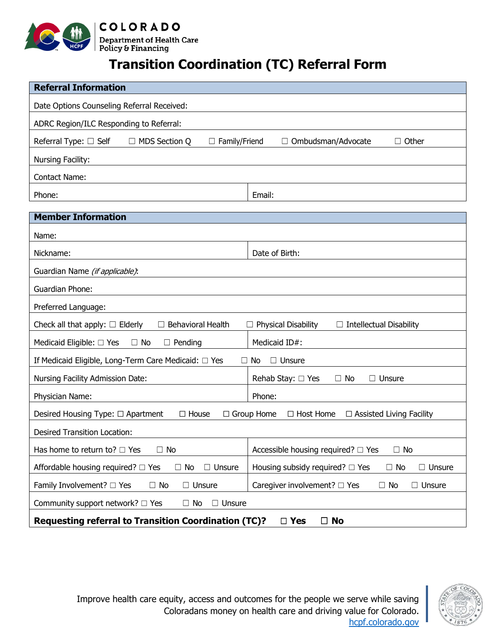

## **Transition Coordination (TC) Referral Form**

| <b>Referral Information</b>                                                                                                      |                                                                    |
|----------------------------------------------------------------------------------------------------------------------------------|--------------------------------------------------------------------|
| Date Options Counseling Referral Received:                                                                                       |                                                                    |
| ADRC Region/ILC Responding to Referral:                                                                                          |                                                                    |
| Referral Type: □ Self<br>□ MDS Section Q<br>$\Box$ Family/Friend                                                                 | $\Box$ Other<br>Ombudsman/Advocate                                 |
| Nursing Facility:                                                                                                                |                                                                    |
| <b>Contact Name:</b>                                                                                                             |                                                                    |
| Phone:                                                                                                                           | Email:                                                             |
|                                                                                                                                  |                                                                    |
| <b>Member Information</b>                                                                                                        |                                                                    |
| Name:                                                                                                                            |                                                                    |
| Nickname:                                                                                                                        | Date of Birth:                                                     |
| Guardian Name (if applicable):                                                                                                   |                                                                    |
| <b>Guardian Phone:</b>                                                                                                           |                                                                    |
| Preferred Language:                                                                                                              |                                                                    |
| Check all that apply: $\Box$ Elderly<br>$\Box$ Behavioral Health<br><b>Physical Disability</b><br>$\Box$ Intellectual Disability |                                                                    |
| Medicaid Eligible: □ Yes<br>$\Box$ No<br>$\Box$ Pending                                                                          | Medicaid ID#:                                                      |
| If Medicaid Eligible, Long-Term Care Medicaid: □ Yes<br>$\Box$ Unsure<br>No<br>$\perp$                                           |                                                                    |
| Nursing Facility Admission Date:                                                                                                 | Rehab Stay: □ Yes<br>$\Box$ No<br>□ Unsure                         |
| Physician Name:                                                                                                                  | Phone:                                                             |
| Desired Housing Type: □ Apartment<br>$\Box$ Group Home<br>$\Box$ House<br>$\Box$ Host Home<br>$\Box$ Assisted Living Facility    |                                                                    |
| <b>Desired Transition Location:</b>                                                                                              |                                                                    |
| Has home to return to? $\Box$ Yes<br>$\Box$ No                                                                                   | Accessible housing required? □ Yes<br>$\Box$ No                    |
| Affordable housing required? $\Box$ Yes<br>$\Box$ Unsure<br>$\Box$ No                                                            | Housing subsidy required? $\Box$ Yes<br>$\Box$ No<br>$\Box$ Unsure |
| Family Involvement? □ Yes<br>$\Box$ No<br>$\Box$ Unsure                                                                          | Caregiver involvement? □ Yes<br>$\Box$ No<br>$\Box$ Unsure         |
| Community support network? $\Box$ Yes<br>$\Box$ No<br>$\Box$ Unsure                                                              |                                                                    |
| <b>Requesting referral to Transition Coordination (TC)?</b><br>$\square$ No<br>$\Box$ Yes                                        |                                                                    |